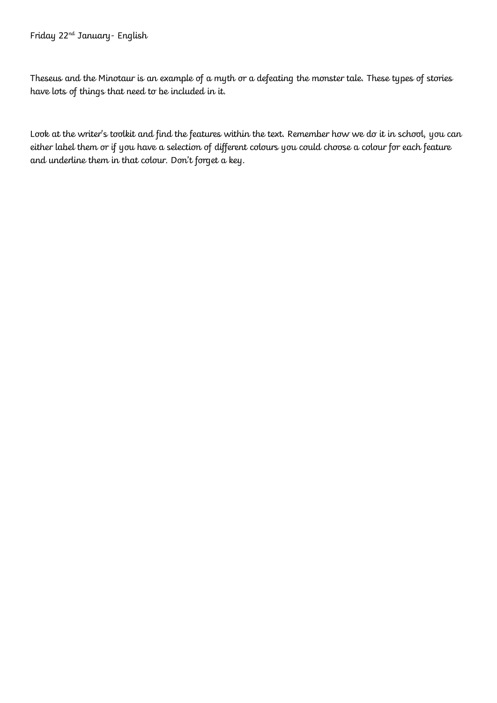## Friday 22nd January- English

Theseus and the Minotaur is an example of a myth or a defeating the monster tale. These types of stories have lots of things that need to be included in it.

Look at the writer's toolkit and find the features within the text. Remember how we do it in school, you can either label them or if you have a selection of different colours you could choose a colour for each feature and underline them in that colour. Don't forget a key.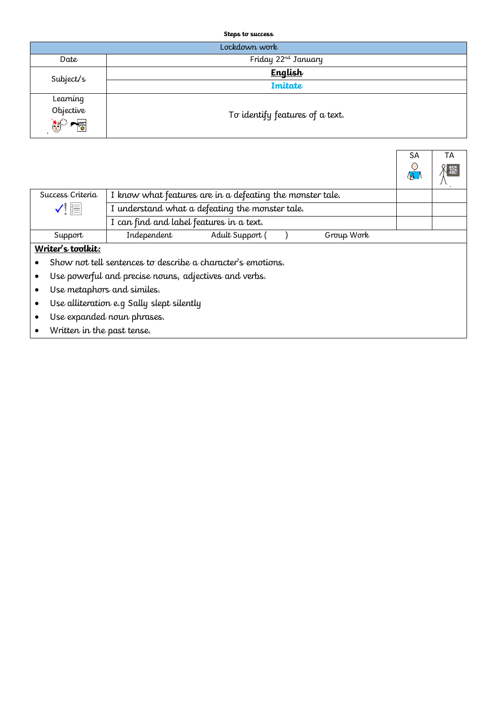**Steps to success**

| Lockdown work  |                                 |  |  |  |  |  |
|----------------|---------------------------------|--|--|--|--|--|
| Date           | Friday 22 <sup>nd</sup> January |  |  |  |  |  |
| Subject/s      | English                         |  |  |  |  |  |
|                | <b>Imitate</b>                  |  |  |  |  |  |
| Learning       |                                 |  |  |  |  |  |
|                | To identify features of a text. |  |  |  |  |  |
| Objective<br>C |                                 |  |  |  |  |  |

|                                                             |                                                           |                 |  |            | SA<br>$\mathbb{X}$ | ТA |  |
|-------------------------------------------------------------|-----------------------------------------------------------|-----------------|--|------------|--------------------|----|--|
| Success Criteria                                            | I know what features are in a defeating the monster tale. |                 |  |            |                    |    |  |
| $\checkmark$ ! $\equiv$                                     | I understand what a defeating the monster tale.           |                 |  |            |                    |    |  |
|                                                             | I can find and label features in a text.                  |                 |  |            |                    |    |  |
| Support                                                     | Independent                                               | Adult Support ( |  | Group Work |                    |    |  |
| Writer's toolkit:                                           |                                                           |                 |  |            |                    |    |  |
| Show not tell sentences to describe a character's emotions. |                                                           |                 |  |            |                    |    |  |
| Use powerful and precise nouns, adjectives and verbs.       |                                                           |                 |  |            |                    |    |  |
| Use metaphors and similes.                                  |                                                           |                 |  |            |                    |    |  |
| Use alliteration e.g Sally slept silently                   |                                                           |                 |  |            |                    |    |  |
| Use expanded noun phrases.                                  |                                                           |                 |  |            |                    |    |  |
| Written in the past tense.                                  |                                                           |                 |  |            |                    |    |  |